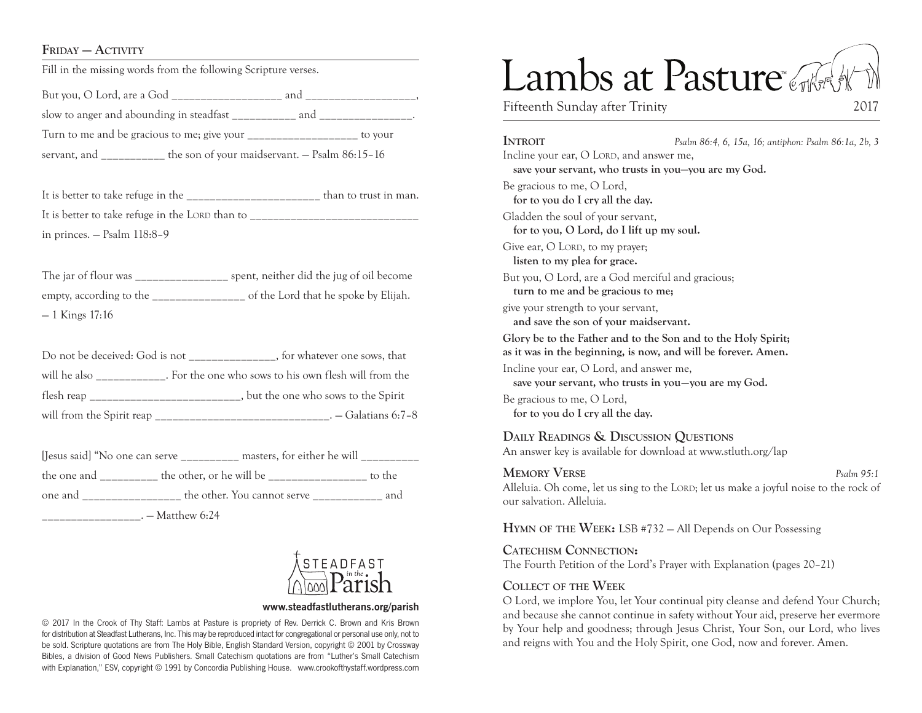## FRIDAY — ACTIVITY

Fill in the missing words from the following Scripture verses.

But you, O Lord, are a God and and  $\Box$ slow to anger and abounding in steadfast \_\_\_\_\_\_\_\_\_\_\_ and \_\_\_\_\_\_\_\_\_\_\_\_\_\_\_\_. Turn to me and be gracious to me; give your to your to your servant, and the son of your maidservant. — Psalm 86:15–16

It is better to take refuge in the \_\_\_\_\_\_\_\_\_\_\_\_\_\_\_\_\_\_\_\_\_\_\_ than to trust in man. It is better to take refuge in the LORD than to in princes. — Psalm 118:8–9

The jar of flour was \_\_\_\_\_\_\_\_\_\_\_\_\_\_\_\_\_\_\_ spent, neither did the jug of oil become empty, according to the \_\_\_\_\_\_\_\_\_\_\_\_\_\_\_\_ of the Lord that he spoke by Elijah. — 1 Kings 17:16

| Do not be deceived: God is not $\frac{1}{2}$ | _, for whatever one sows, that                        |
|----------------------------------------------|-------------------------------------------------------|
| will he also                                 | . For the one who sows to his own flesh will from the |
|                                              | , but the one who sows to the Spirit                  |
| will from the Spirit reap                    | . – Galatians 6:7-8                                   |

| [Jesus said] "No one can serve _________ | masters, for either he will |        |
|------------------------------------------|-----------------------------|--------|
| the one and                              | the other, or he will be    | to the |
| one and                                  | the other. You cannot serve | and    |
|                                          | . — Matthew 6:24            |        |



#### **www.steadfastlutherans.org/parish**

© 2017 In the Crook of Thy Staff: Lambs at Pasture is propriety of Rev. Derrick C. Brown and Kris Brown for distribution at Steadfast Lutherans, Inc. This may be reproduced intact for congregational or personal use only, not to be sold. Scripture quotations are from The Holy Bible, English Standard Version, copyright © 2001 by Crossway Bibles, a division of Good News Publishers. Small Catechism quotations are from "Luther's Small Catechism with Explanation," ESV, copyright © 1991 by Concordia Publishing House. www.crookofthystaff.wordpress.com

# Lambs at Pasture

Fifteenth Sunday after Trinity 2017

**Introit** *Psalm 86:4, 6, 15a, 16; antiphon: Psalm 86:1a, 2b, 3* Incline your ear, O LORD, and answer me, **save your servant, who trusts in you—you are my God.**  Be gracious to me, O Lord, **for to you do I cry all the day.**  Gladden the soul of your servant, **for to you, O Lord, do I lift up my soul.**  Give ear, O LORD, to my prayer; **listen to my plea for grace.**  But you, O Lord, are a God merciful and gracious; **turn to me and be gracious to me;**  give your strength to your servant, **and save the son of your maidservant. Glory be to the Father and to the Son and to the Holy Spirit; as it was in the beginning, is now, and will be forever. Amen.** Incline your ear, O Lord, and answer me, **save your servant, who trusts in you—you are my God.**  Be gracious to me, O Lord, **for to you do I cry all the day.** 

## **Daily Readings & Discussion Questions**

An answer key is available for download at www.stluth.org/lap

#### **Memory Verse** *Psalm 95:1*

Alleluia. Oh come, let us sing to the LORD; let us make a joyful noise to the rock of our salvation. Alleluia.

**Hymn of the Week:** LSB #732 — All Depends on Our Possessing

**Catechism Connection:** The Fourth Petition of the Lord's Prayer with Explanation (pages 20–21)

# **Collect of the Week**

O Lord, we implore You, let Your continual pity cleanse and defend Your Church; and because she cannot continue in safety without Your aid, preserve her evermore by Your help and goodness; through Jesus Christ, Your Son, our Lord, who lives and reigns with You and the Holy Spirit, one God, now and forever. Amen.